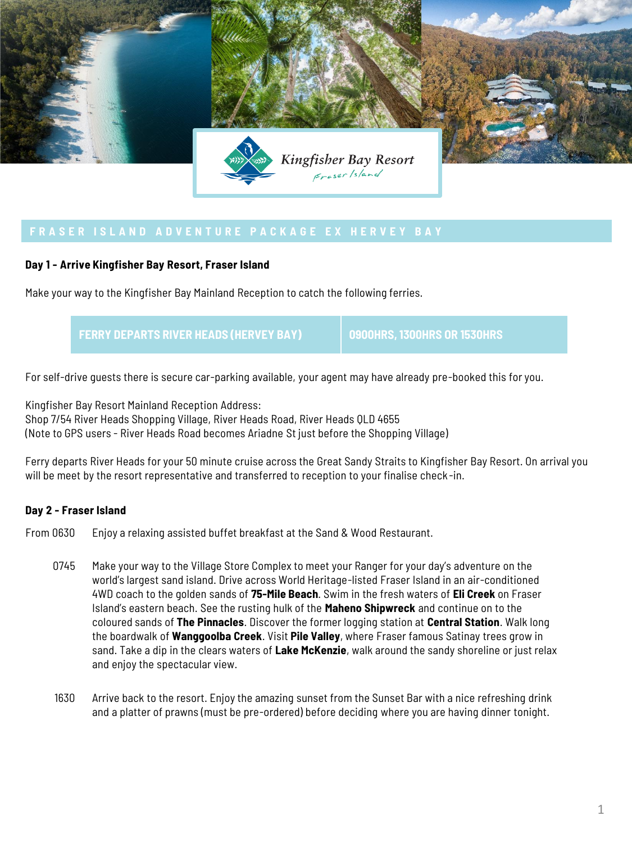

## **Day 1 - Arrive Kingfisher Bay Resort, Fraser Island**

Make your way to the Kingfisher Bay Mainland Reception to catch the following ferries.

**FERRY DEPARTS RIVER HEADS (HERVEY BAY) 0900HRS, 1300HRS OR 1530HRS**

For self-drive guests there is secure car-parking available, your agent may have already pre-booked this for you.

Kingfisher Bay Resort Mainland Reception Address: Shop 7/54 River Heads Shopping Village, River Heads Road, River Heads QLD 4655 (Note to GPS users - River Heads Road becomes Ariadne St just before the Shopping Village)

Ferry departs River Heads for your 50 minute cruise across the Great Sandy Straits to Kingfisher Bay Resort. On arrival you will be meet by the resort representative and transferred to reception to your finalise check -in.

## **Day 2 - Fraser Island**

From 0630 Enjoy a relaxing assisted buffet breakfast at the Sand & Wood Restaurant.

- 0745 Make your way to the Village Store Complex to meet your Ranger for your day's adventure on the world's largest sand island. Drive across World Heritage-listed Fraser Island in an air-conditioned 4WD coach to the golden sands of **75-Mile Beach**. Swim in the fresh waters of **Eli Creek** on Fraser Island's eastern beach. See the rusting hulk of the **Maheno Shipwreck** and continue on to the coloured sands of **The Pinnacles**. Discover the former logging station at **Central Station**. Walk long the boardwalk of **Wanggoolba Creek**. Visit **Pile Valley**, where Fraser famous Satinay trees grow in sand. Take a dip in the clears waters of **Lake McKenzie**, walk around the sandy shoreline or just relax and enjoy the spectacular view.
- 1630 Arrive back to the resort. Enjoy the amazing sunset from the Sunset Bar with a nice refreshing drink and a platter of prawns (must be pre-ordered) before deciding where you are having dinner tonight.